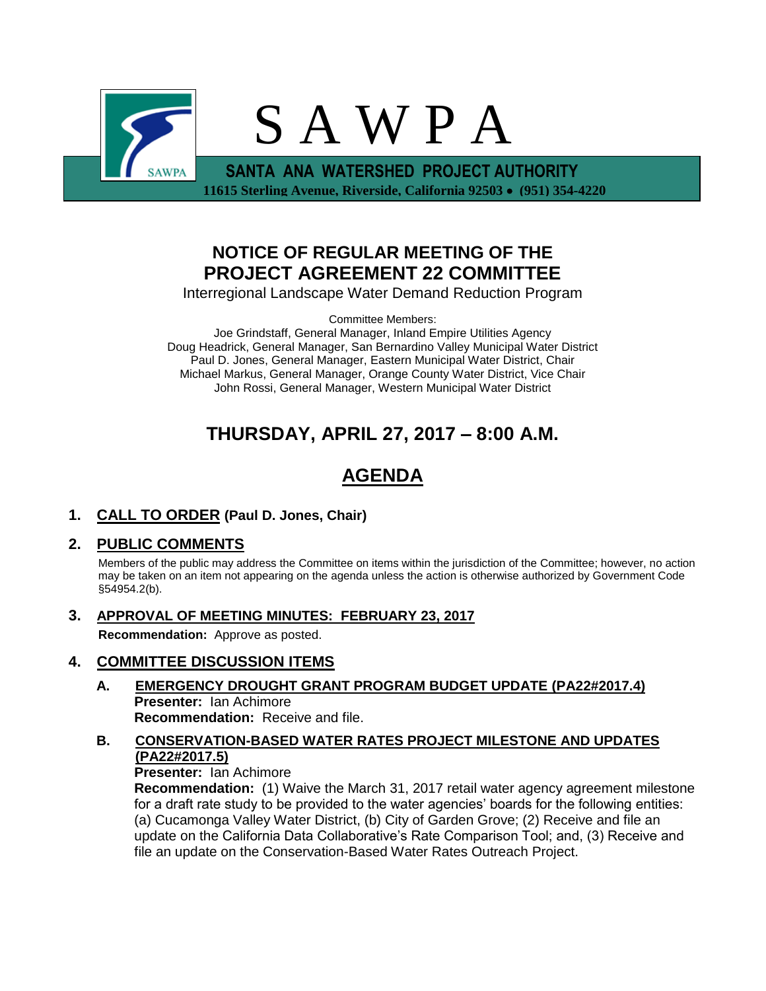

## **NOTICE OF REGULAR MEETING OF THE PROJECT AGREEMENT 22 COMMITTEE**

Interregional Landscape Water Demand Reduction Program

Committee Members:

Joe Grindstaff, General Manager, Inland Empire Utilities Agency Doug Headrick, General Manager, San Bernardino Valley Municipal Water District Paul D. Jones, General Manager, Eastern Municipal Water District, Chair Michael Markus, General Manager, Orange County Water District, Vice Chair John Rossi, General Manager, Western Municipal Water District

# **THURSDAY, APRIL 27, 2017 – 8:00 A.M.**

# **AGENDA**

**1. CALL TO ORDER (Paul D. Jones, Chair)** 

## **2. PUBLIC COMMENTS**

Members of the public may address the Committee on items within the jurisdiction of the Committee; however, no action may be taken on an item not appearing on the agenda unless the action is otherwise authorized by Government Code §54954.2(b).

**3. APPROVAL OF MEETING MINUTES: FEBRUARY 23, 2017**

**Recommendation:** Approve as posted.

### **4. COMMITTEE DISCUSSION ITEMS**

- **A. EMERGENCY DROUGHT GRANT PROGRAM BUDGET UPDATE (PA22#2017.4) Presenter:** Ian Achimore **Recommendation:** Receive and file.
- **B. CONSERVATION-BASED WATER RATES PROJECT MILESTONE AND UPDATES (PA22#2017.5)**

**Presenter:** Ian Achimore

**Recommendation:** (1) Waive the March 31, 2017 retail water agency agreement milestone for a draft rate study to be provided to the water agencies' boards for the following entities: (a) Cucamonga Valley Water District, (b) City of Garden Grove; (2) Receive and file an update on the California Data Collaborative's Rate Comparison Tool; and, (3) Receive and file an update on the Conservation-Based Water Rates Outreach Project.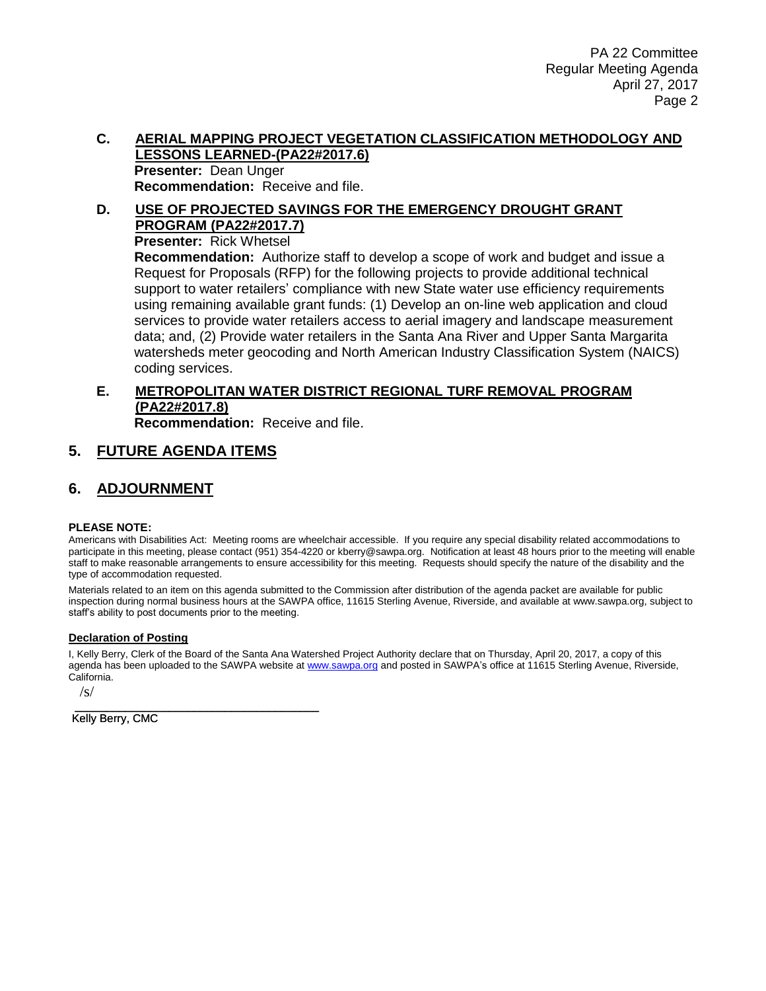#### **C. AERIAL MAPPING PROJECT VEGETATION CLASSIFICATION METHODOLOGY AND LESSONS LEARNED-(PA22#2017.6) Presenter:** Dean Unger **Recommendation:** Receive and file.

#### **D. USE OF PROJECTED SAVINGS FOR THE EMERGENCY DROUGHT GRANT PROGRAM (PA22#2017.7) Presenter:** Rick Whetsel

**Recommendation:** Authorize staff to develop a scope of work and budget and issue a Request for Proposals (RFP) for the following projects to provide additional technical support to water retailers' compliance with new State water use efficiency requirements using remaining available grant funds: (1) Develop an on-line web application and cloud services to provide water retailers access to aerial imagery and landscape measurement data; and, (2) Provide water retailers in the Santa Ana River and Upper Santa Margarita watersheds meter geocoding and North American Industry Classification System (NAICS) coding services.

## **E. METROPOLITAN WATER DISTRICT REGIONAL TURF REMOVAL PROGRAM (PA22#2017.8)**

**Recommendation:** Receive and file.

## **5. FUTURE AGENDA ITEMS**

### **6. ADJOURNMENT**

#### **PLEASE NOTE:**

Americans with Disabilities Act: Meeting rooms are wheelchair accessible. If you require any special disability related accommodations to participate in this meeting, please contact (951) 354-4220 or kberry@sawpa.org. Notification at least 48 hours prior to the meeting will enable staff to make reasonable arrangements to ensure accessibility for this meeting. Requests should specify the nature of the disability and the type of accommodation requested.

Materials related to an item on this agenda submitted to the Commission after distribution of the agenda packet are available for public inspection during normal business hours at the SAWPA office, 11615 Sterling Avenue, Riverside, and available at www.sawpa.org, subject to staff's ability to post documents prior to the meeting.

#### **Declaration of Posting**

I, Kelly Berry, Clerk of the Board of the Santa Ana Watershed Project Authority declare that on Thursday, April 20, 2017, a copy of this agenda has been uploaded to the SAWPA website a[t www.sawpa.org](http://www.sawpa.org/) and posted in SAWPA's office at 11615 Sterling Avenue, Riverside, California.

/s/

\_\_\_\_\_\_\_\_\_\_\_\_\_\_\_\_\_\_\_\_\_\_\_\_\_\_\_\_\_\_\_\_\_\_\_\_\_\_\_ Kelly Berry, CMC